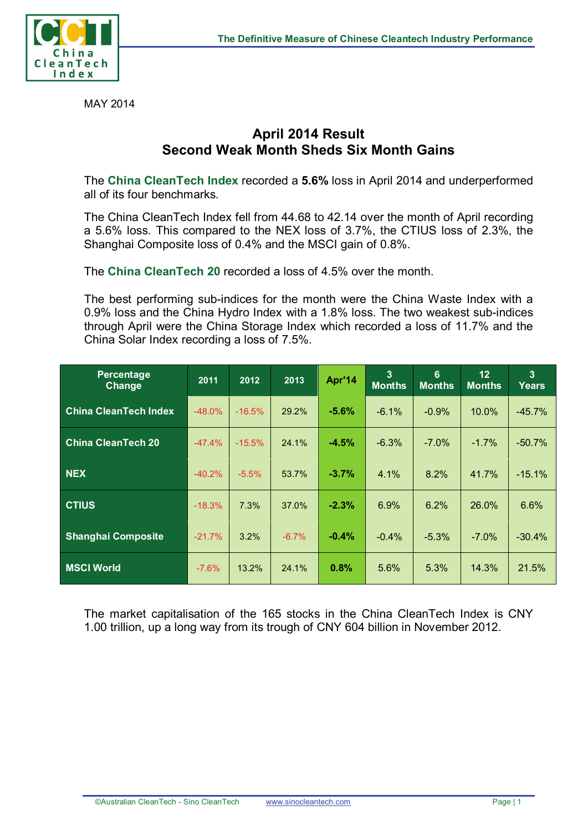

MAY 2014

## **April 2014 Result Second Weak Month Sheds Six Month Gains**

The **China CleanTech Index** recorded a **5.6%** loss in April 2014 and underperformed all of its four benchmarks.

The China CleanTech Index fell from 44.68 to 42.14 over the month of April recording a 5.6% loss. This compared to the NEX loss of 3.7%, the CTIUS loss of 2.3%, the Shanghai Composite loss of 0.4% and the MSCI gain of 0.8%.

The **China CleanTech 20** recorded a loss of 4.5% over the month.

The best performing sub-indices for the month were the China Waste Index with a 0.9% loss and the China Hydro Index with a 1.8% loss. The two weakest sub-indices through April were the China Storage Index which recorded a loss of 11.7% and the China Solar Index recording a loss of 7.5%.

| Percentage<br>Change         | 2011     | 2012     | 2013    | Apr'14   | 3<br><b>Months</b> | 6<br><b>Months</b> | 12<br><b>Months</b> | $\mathbf{3}$<br>Years |
|------------------------------|----------|----------|---------|----------|--------------------|--------------------|---------------------|-----------------------|
| <b>China CleanTech Index</b> | $-48.0%$ | $-16.5%$ | 29.2%   | $-5.6%$  | $-6.1\%$           | $-0.9%$            | 10.0%               | $-45.7%$              |
| <b>China CleanTech 20</b>    | $-47.4%$ | $-15.5%$ | 24.1%   | $-4.5%$  | $-6.3%$            | $-7.0%$            | $-1.7%$             | $-50.7%$              |
| <b>NEX</b>                   | $-40.2%$ | $-5.5%$  | 53.7%   | $-3.7\%$ | 4.1%               | 8.2%               | 41.7%               | $-15.1%$              |
| <b>CTIUS</b>                 | $-18.3%$ | 7.3%     | 37.0%   | $-2.3%$  | 6.9%               | 6.2%               | 26.0%               | 6.6%                  |
| <b>Shanghai Composite</b>    | $-21.7%$ | 3.2%     | $-6.7%$ | $-0.4%$  | $-0.4%$            | $-5.3%$            | $-7.0%$             | $-30.4%$              |
| <b>MSCI World</b>            | $-7.6%$  | 13.2%    | 24.1%   | 0.8%     | 5.6%               | 5.3%               | 14.3%               | 21.5%                 |

The market capitalisation of the 165 stocks in the China CleanTech Index is CNY 1.00 trillion, up a long way from its trough of CNY 604 billion in November 2012.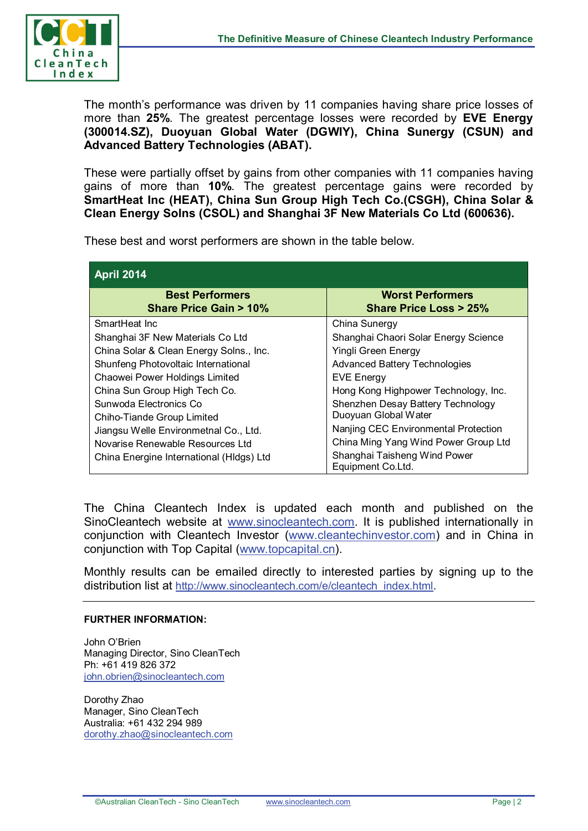

The month's performance was driven by 11 companies having share price losses of more than **25%**. The greatest percentage losses were recorded by **EVE Energy (300014.SZ), Duoyuan Global Water (DGWIY), China Sunergy (CSUN) and Advanced Battery Technologies (ABAT).**

These were partially offset by gains from other companies with 11 companies having gains of more than **10%**. The greatest percentage gains were recorded by **SmartHeat Inc (HEAT), China Sun Group High Tech Co.(CSGH), China Solar & Clean Energy Solns (CSOL) and Shanghai 3F New Materials Co Ltd (600636).**

These best and worst performers are shown in the table below.

| <b>April 2014</b>                                          |                                                             |  |  |  |  |  |
|------------------------------------------------------------|-------------------------------------------------------------|--|--|--|--|--|
| <b>Best Performers</b><br><b>Share Price Gain &gt; 10%</b> | <b>Worst Performers</b><br><b>Share Price Loss &gt; 25%</b> |  |  |  |  |  |
| SmartHeat Inc.                                             | China Sunergy                                               |  |  |  |  |  |
| Shanghai 3F New Materials Co Ltd                           | Shanghai Chaori Solar Energy Science                        |  |  |  |  |  |
| China Solar & Clean Energy Solns., Inc.                    | Yingli Green Energy                                         |  |  |  |  |  |
| Shunfeng Photovoltaic International                        | <b>Advanced Battery Technologies</b>                        |  |  |  |  |  |
| Chaowei Power Holdings Limited                             | <b>EVE Energy</b>                                           |  |  |  |  |  |
| China Sun Group High Tech Co.                              | Hong Kong Highpower Technology, Inc.                        |  |  |  |  |  |
| Sunwoda Electronics Co                                     | Shenzhen Desay Battery Technology                           |  |  |  |  |  |
| Chiho-Tiande Group Limited                                 | Duoyuan Global Water                                        |  |  |  |  |  |
| Jiangsu Welle Environmethal Co., Ltd.                      | Nanjing CEC Environmental Protection                        |  |  |  |  |  |
| Novarise Renewable Resources Ltd                           | China Ming Yang Wind Power Group Ltd                        |  |  |  |  |  |
| China Energine International (HIdgs) Ltd                   | Shanghai Taisheng Wind Power<br>Equipment Co.Ltd.           |  |  |  |  |  |

The China Cleantech Index is updated each month and published on the SinoCleantech website at [www.sinocleantech.com.](http://www.sinocleantech.com/) It is published internationally in conjunction with Cleantech Investor [\(www.cleantechinvestor.com\)](http://www.cleantechinvestor.com/) and in China in conjunction with Top Capital [\(www.topcapital.cn\)](http://www.topcapital.cn/).

Monthly results can be emailed directly to interested parties by signing up to the distribution list at [http://www.sinocleantech.com/e/cleantech\\_index.html.](http://www.sinocleantech.com/e/cleantech_index.html)

## **FURTHER INFORMATION:**

John O'Brien Managing Director, Sino CleanTech Ph: +61 419 826 372 [john.obrien@sinocleantech.com](mailto:john.obrien@sinocleantech.com)

Dorothy Zhao Manager, Sino CleanTech Australia: +61 432 294 989 [dorothy.zhao@sinocleantech.com](mailto:dorothy.zhao@sinocleantech.com)